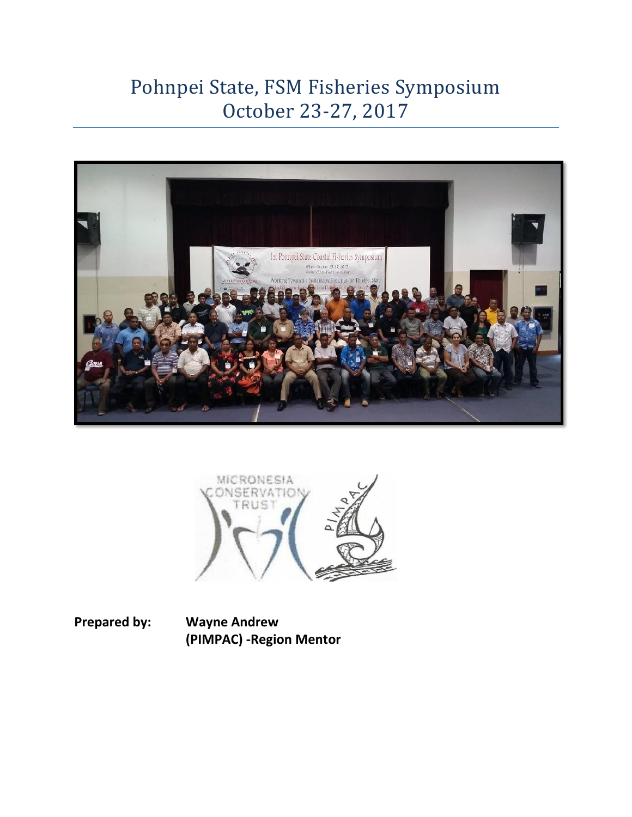# Pohnpei State, FSM Fisheries Symposium October 23-27, 2017





**Prepared by: Wayne Andrew (PIMPAC) -Region Mentor**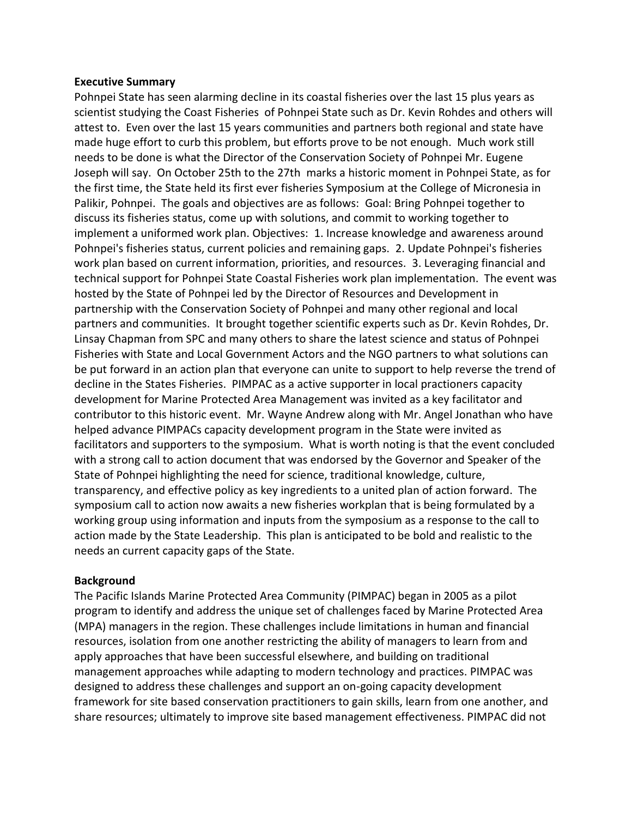#### **Executive Summary**

Pohnpei State has seen alarming decline in its coastal fisheries over the last 15 plus years as scientist studying the Coast Fisheries of Pohnpei State such as Dr. Kevin Rohdes and others will attest to. Even over the last 15 years communities and partners both regional and state have made huge effort to curb this problem, but efforts prove to be not enough. Much work still needs to be done is what the Director of the Conservation Society of Pohnpei Mr. Eugene Joseph will say. On October 25th to the 27th marks a historic moment in Pohnpei State, as for the first time, the State held its first ever fisheries Symposium at the College of Micronesia in Palikir, Pohnpei. The goals and objectives are as follows: Goal: Bring Pohnpei together to discuss its fisheries status, come up with solutions, and commit to working together to implement a uniformed work plan. Objectives: 1. Increase knowledge and awareness around Pohnpei's fisheries status, current policies and remaining gaps. 2. Update Pohnpei's fisheries work plan based on current information, priorities, and resources. 3. Leveraging financial and technical support for Pohnpei State Coastal Fisheries work plan implementation. The event was hosted by the State of Pohnpei led by the Director of Resources and Development in partnership with the Conservation Society of Pohnpei and many other regional and local partners and communities. It brought together scientific experts such as Dr. Kevin Rohdes, Dr. Linsay Chapman from SPC and many others to share the latest science and status of Pohnpei Fisheries with State and Local Government Actors and the NGO partners to what solutions can be put forward in an action plan that everyone can unite to support to help reverse the trend of decline in the States Fisheries. PIMPAC as a active supporter in local practioners capacity development for Marine Protected Area Management was invited as a key facilitator and contributor to this historic event. Mr. Wayne Andrew along with Mr. Angel Jonathan who have helped advance PIMPACs capacity development program in the State were invited as facilitators and supporters to the symposium. What is worth noting is that the event concluded with a strong call to action document that was endorsed by the Governor and Speaker of the State of Pohnpei highlighting the need for science, traditional knowledge, culture, transparency, and effective policy as key ingredients to a united plan of action forward. The symposium call to action now awaits a new fisheries workplan that is being formulated by a working group using information and inputs from the symposium as a response to the call to action made by the State Leadership. This plan is anticipated to be bold and realistic to the needs an current capacity gaps of the State.

#### **Background**

The Pacific Islands Marine Protected Area Community (PIMPAC) began in 2005 as a pilot program to identify and address the unique set of challenges faced by Marine Protected Area (MPA) managers in the region. These challenges include limitations in human and financial resources, isolation from one another restricting the ability of managers to learn from and apply approaches that have been successful elsewhere, and building on traditional management approaches while adapting to modern technology and practices. PIMPAC was designed to address these challenges and support an on-going capacity development framework for site based conservation practitioners to gain skills, learn from one another, and share resources; ultimately to improve site based management effectiveness. PIMPAC did not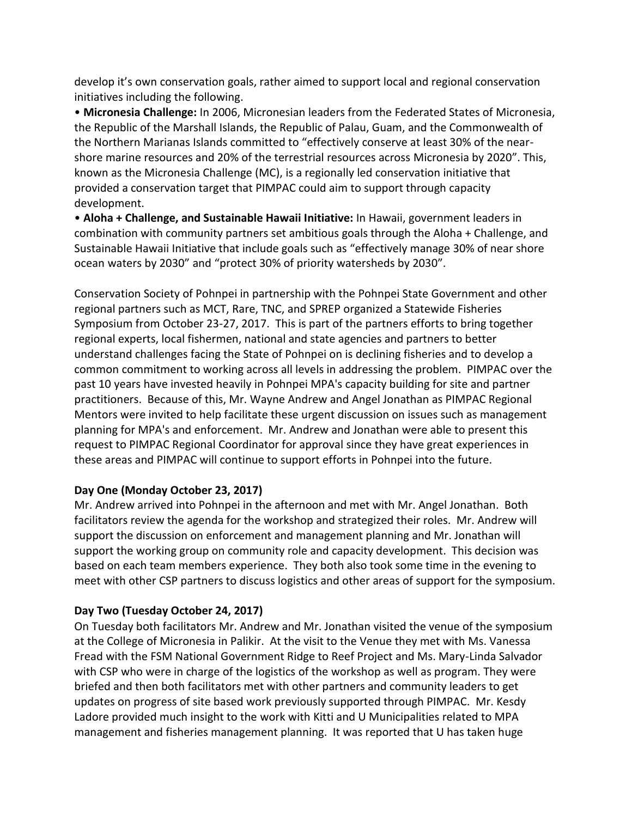develop it's own conservation goals, rather aimed to support local and regional conservation initiatives including the following.

• **Micronesia Challenge:** In 2006, Micronesian leaders from the Federated States of Micronesia, the Republic of the Marshall Islands, the Republic of Palau, Guam, and the Commonwealth of the Northern Marianas Islands committed to "effectively conserve at least 30% of the nearshore marine resources and 20% of the terrestrial resources across Micronesia by 2020". This, known as the Micronesia Challenge (MC), is a regionally led conservation initiative that provided a conservation target that PIMPAC could aim to support through capacity development.

• **Aloha + Challenge, and Sustainable Hawaii Initiative:** In Hawaii, government leaders in combination with community partners set ambitious goals through the Aloha + Challenge, and Sustainable Hawaii Initiative that include goals such as "effectively manage 30% of near shore ocean waters by 2030" and "protect 30% of priority watersheds by 2030".

Conservation Society of Pohnpei in partnership with the Pohnpei State Government and other regional partners such as MCT, Rare, TNC, and SPREP organized a Statewide Fisheries Symposium from October 23-27, 2017. This is part of the partners efforts to bring together regional experts, local fishermen, national and state agencies and partners to better understand challenges facing the State of Pohnpei on is declining fisheries and to develop a common commitment to working across all levels in addressing the problem. PIMPAC over the past 10 years have invested heavily in Pohnpei MPA's capacity building for site and partner practitioners. Because of this, Mr. Wayne Andrew and Angel Jonathan as PIMPAC Regional Mentors were invited to help facilitate these urgent discussion on issues such as management planning for MPA's and enforcement. Mr. Andrew and Jonathan were able to present this request to PIMPAC Regional Coordinator for approval since they have great experiences in these areas and PIMPAC will continue to support efforts in Pohnpei into the future.

### **Day One (Monday October 23, 2017)**

Mr. Andrew arrived into Pohnpei in the afternoon and met with Mr. Angel Jonathan. Both facilitators review the agenda for the workshop and strategized their roles. Mr. Andrew will support the discussion on enforcement and management planning and Mr. Jonathan will support the working group on community role and capacity development. This decision was based on each team members experience. They both also took some time in the evening to meet with other CSP partners to discuss logistics and other areas of support for the symposium.

### **Day Two (Tuesday October 24, 2017)**

On Tuesday both facilitators Mr. Andrew and Mr. Jonathan visited the venue of the symposium at the College of Micronesia in Palikir. At the visit to the Venue they met with Ms. Vanessa Fread with the FSM National Government Ridge to Reef Project and Ms. Mary-Linda Salvador with CSP who were in charge of the logistics of the workshop as well as program. They were briefed and then both facilitators met with other partners and community leaders to get updates on progress of site based work previously supported through PIMPAC. Mr. Kesdy Ladore provided much insight to the work with Kitti and U Municipalities related to MPA management and fisheries management planning. It was reported that U has taken huge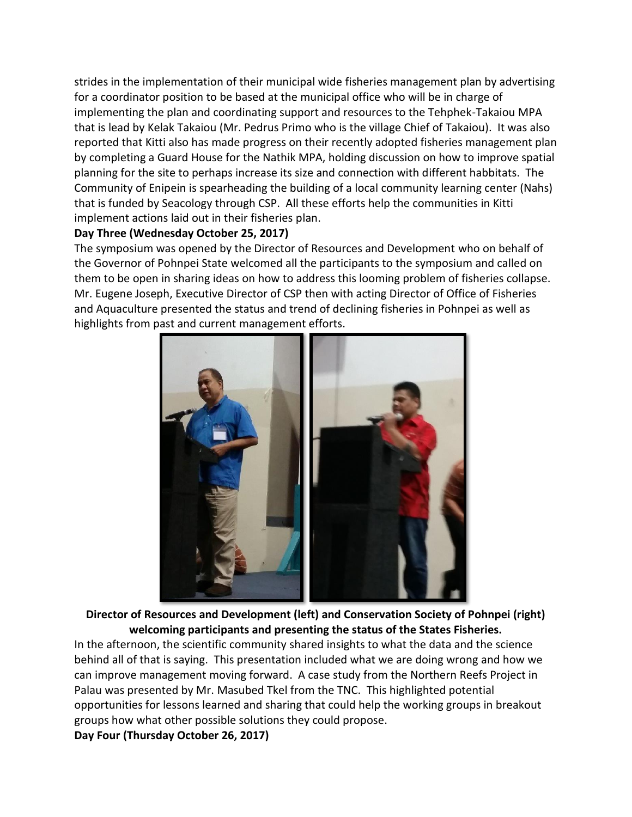strides in the implementation of their municipal wide fisheries management plan by advertising for a coordinator position to be based at the municipal office who will be in charge of implementing the plan and coordinating support and resources to the Tehphek-Takaiou MPA that is lead by Kelak Takaiou (Mr. Pedrus Primo who is the village Chief of Takaiou). It was also reported that Kitti also has made progress on their recently adopted fisheries management plan by completing a Guard House for the Nathik MPA, holding discussion on how to improve spatial planning for the site to perhaps increase its size and connection with different habbitats. The Community of Enipein is spearheading the building of a local community learning center (Nahs) that is funded by Seacology through CSP. All these efforts help the communities in Kitti implement actions laid out in their fisheries plan.

#### **Day Three (Wednesday October 25, 2017)**

The symposium was opened by the Director of Resources and Development who on behalf of the Governor of Pohnpei State welcomed all the participants to the symposium and called on them to be open in sharing ideas on how to address this looming problem of fisheries collapse. Mr. Eugene Joseph, Executive Director of CSP then with acting Director of Office of Fisheries and Aquaculture presented the status and trend of declining fisheries in Pohnpei as well as highlights from past and current management efforts.



**Director of Resources and Development (left) and Conservation Society of Pohnpei (right) welcoming participants and presenting the status of the States Fisheries.**

In the afternoon, the scientific community shared insights to what the data and the science behind all of that is saying. This presentation included what we are doing wrong and how we can improve management moving forward. A case study from the Northern Reefs Project in Palau was presented by Mr. Masubed Tkel from the TNC. This highlighted potential opportunities for lessons learned and sharing that could help the working groups in breakout groups how what other possible solutions they could propose.

**Day Four (Thursday October 26, 2017)**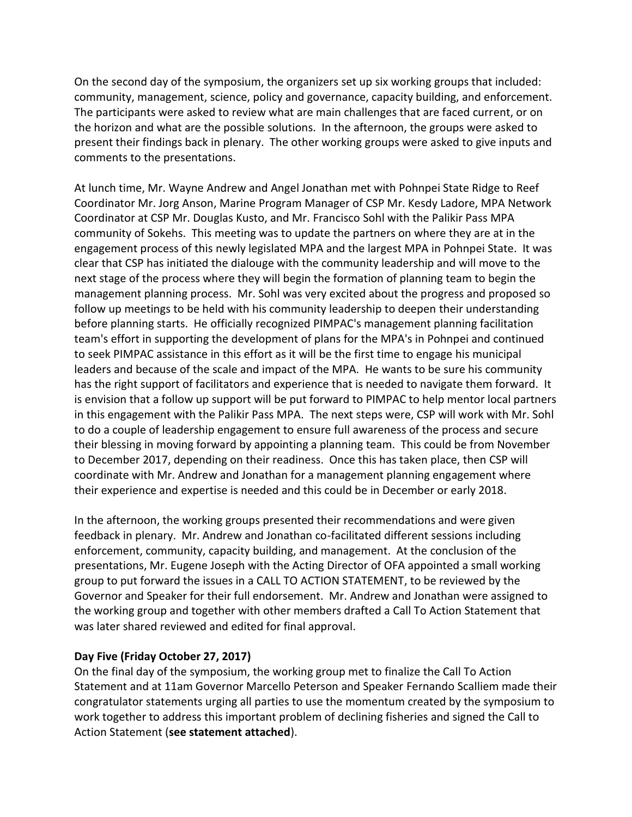On the second day of the symposium, the organizers set up six working groups that included: community, management, science, policy and governance, capacity building, and enforcement. The participants were asked to review what are main challenges that are faced current, or on the horizon and what are the possible solutions. In the afternoon, the groups were asked to present their findings back in plenary. The other working groups were asked to give inputs and comments to the presentations.

At lunch time, Mr. Wayne Andrew and Angel Jonathan met with Pohnpei State Ridge to Reef Coordinator Mr. Jorg Anson, Marine Program Manager of CSP Mr. Kesdy Ladore, MPA Network Coordinator at CSP Mr. Douglas Kusto, and Mr. Francisco Sohl with the Palikir Pass MPA community of Sokehs. This meeting was to update the partners on where they are at in the engagement process of this newly legislated MPA and the largest MPA in Pohnpei State. It was clear that CSP has initiated the dialouge with the community leadership and will move to the next stage of the process where they will begin the formation of planning team to begin the management planning process. Mr. Sohl was very excited about the progress and proposed so follow up meetings to be held with his community leadership to deepen their understanding before planning starts. He officially recognized PIMPAC's management planning facilitation team's effort in supporting the development of plans for the MPA's in Pohnpei and continued to seek PIMPAC assistance in this effort as it will be the first time to engage his municipal leaders and because of the scale and impact of the MPA. He wants to be sure his community has the right support of facilitators and experience that is needed to navigate them forward. It is envision that a follow up support will be put forward to PIMPAC to help mentor local partners in this engagement with the Palikir Pass MPA. The next steps were, CSP will work with Mr. Sohl to do a couple of leadership engagement to ensure full awareness of the process and secure their blessing in moving forward by appointing a planning team. This could be from November to December 2017, depending on their readiness. Once this has taken place, then CSP will coordinate with Mr. Andrew and Jonathan for a management planning engagement where their experience and expertise is needed and this could be in December or early 2018.

In the afternoon, the working groups presented their recommendations and were given feedback in plenary. Mr. Andrew and Jonathan co-facilitated different sessions including enforcement, community, capacity building, and management. At the conclusion of the presentations, Mr. Eugene Joseph with the Acting Director of OFA appointed a small working group to put forward the issues in a CALL TO ACTION STATEMENT, to be reviewed by the Governor and Speaker for their full endorsement. Mr. Andrew and Jonathan were assigned to the working group and together with other members drafted a Call To Action Statement that was later shared reviewed and edited for final approval.

#### **Day Five (Friday October 27, 2017)**

On the final day of the symposium, the working group met to finalize the Call To Action Statement and at 11am Governor Marcello Peterson and Speaker Fernando Scalliem made their congratulator statements urging all parties to use the momentum created by the symposium to work together to address this important problem of declining fisheries and signed the Call to Action Statement (**see statement attached**).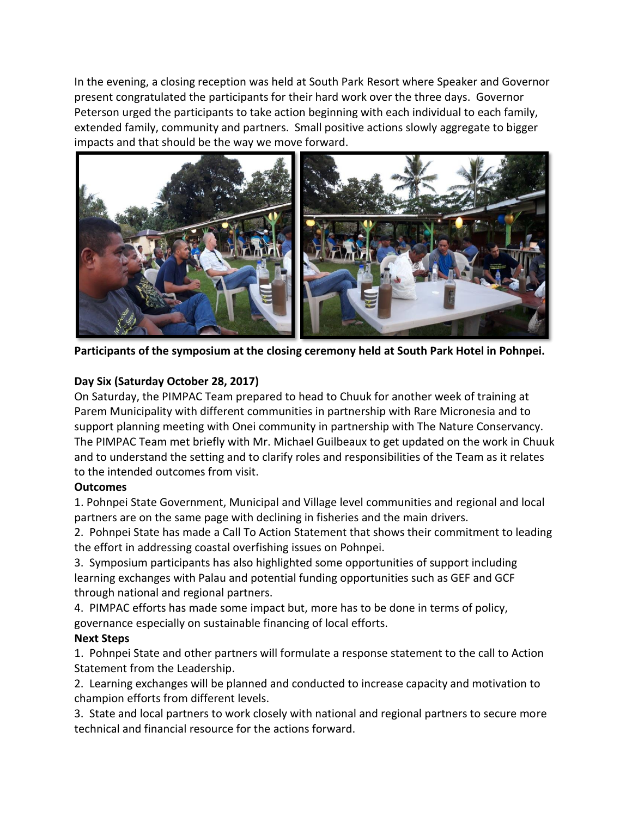In the evening, a closing reception was held at South Park Resort where Speaker and Governor present congratulated the participants for their hard work over the three days. Governor Peterson urged the participants to take action beginning with each individual to each family, extended family, community and partners. Small positive actions slowly aggregate to bigger impacts and that should be the way we move forward.



**Participants of the symposium at the closing ceremony held at South Park Hotel in Pohnpei.**

## **Day Six (Saturday October 28, 2017)**

On Saturday, the PIMPAC Team prepared to head to Chuuk for another week of training at Parem Municipality with different communities in partnership with Rare Micronesia and to support planning meeting with Onei community in partnership with The Nature Conservancy. The PIMPAC Team met briefly with Mr. Michael Guilbeaux to get updated on the work in Chuuk and to understand the setting and to clarify roles and responsibilities of the Team as it relates to the intended outcomes from visit.

## **Outcomes**

1. Pohnpei State Government, Municipal and Village level communities and regional and local partners are on the same page with declining in fisheries and the main drivers.

2. Pohnpei State has made a Call To Action Statement that shows their commitment to leading the effort in addressing coastal overfishing issues on Pohnpei.

3. Symposium participants has also highlighted some opportunities of support including learning exchanges with Palau and potential funding opportunities such as GEF and GCF through national and regional partners.

4. PIMPAC efforts has made some impact but, more has to be done in terms of policy, governance especially on sustainable financing of local efforts.

## **Next Steps**

1. Pohnpei State and other partners will formulate a response statement to the call to Action Statement from the Leadership.

2. Learning exchanges will be planned and conducted to increase capacity and motivation to champion efforts from different levels.

3. State and local partners to work closely with national and regional partners to secure more technical and financial resource for the actions forward.